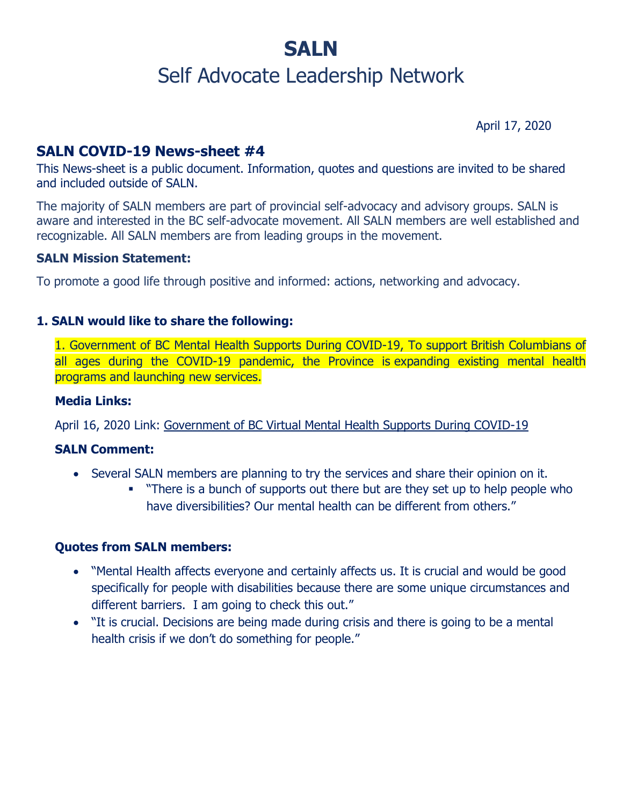# **SALN**

## Self Advocate Leadership Network

April 17, 2020

## **SALN COVID-19 News-sheet #4**

This News-sheet is a public document. Information, quotes and questions are invited to be shared and included outside of SALN.

The majority of SALN members are part of provincial self-advocacy and advisory groups. SALN is aware and interested in the BC self-advocate movement. All SALN members are well established and recognizable. All SALN members are from leading groups in the movement.

#### **SALN Mission Statement:**

To promote a good life through positive and informed: actions, networking and advocacy.

#### **1. SALN would like to share the following:**

1. Government of BC Mental Health Supports During COVID-19, To support British Columbians of all ages during the COVID-19 pandemic, the Province is expanding existing mental health programs and launching new services.

#### **Media Links:**

April 16, 2020 Link: [Government of BC Virtual Mental Health Supports During COVID-19](https://www2.gov.bc.ca/gov/content/health/managing-your-health/mental-health-substance-use/virtual-supports-covid-19)

#### **SALN Comment:**

- Several SALN members are planning to try the services and share their opinion on it.
	- "There is a bunch of supports out there but are they set up to help people who have diversibilities? Our mental health can be different from others."

#### **Quotes from SALN members:**

- "Mental Health affects everyone and certainly affects us. It is crucial and would be good specifically for people with disabilities because there are some unique circumstances and different barriers. I am going to check this out."
- "It is crucial. Decisions are being made during crisis and there is going to be a mental health crisis if we don't do something for people."